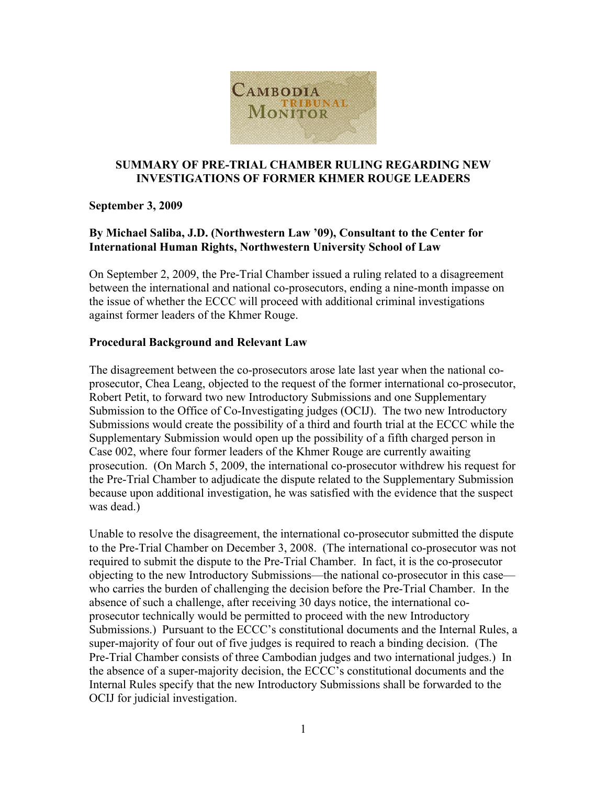

### **SUMMARY OF PRE-TRIAL CHAMBER RULING REGARDING NEW INVESTIGATIONS OF FORMER KHMER ROUGE LEADERS**

# **September 3, 2009**

# **By Michael Saliba, J.D. (Northwestern Law '09), Consultant to the Center for International Human Rights, Northwestern University School of Law**

On September 2, 2009, the Pre-Trial Chamber issued a ruling related to a disagreement between the international and national co-prosecutors, ending a nine-month impasse on the issue of whether the ECCC will proceed with additional criminal investigations against former leaders of the Khmer Rouge.

# **Procedural Background and Relevant Law**

The disagreement between the co-prosecutors arose late last year when the national coprosecutor, Chea Leang, objected to the request of the former international co-prosecutor, Robert Petit, to forward two new Introductory Submissions and one Supplementary Submission to the Office of Co-Investigating judges (OCIJ). The two new Introductory Submissions would create the possibility of a third and fourth trial at the ECCC while the Supplementary Submission would open up the possibility of a fifth charged person in Case 002, where four former leaders of the Khmer Rouge are currently awaiting prosecution. (On March 5, 2009, the international co-prosecutor withdrew his request for the Pre-Trial Chamber to adjudicate the dispute related to the Supplementary Submission because upon additional investigation, he was satisfied with the evidence that the suspect was dead.)

Unable to resolve the disagreement, the international co-prosecutor submitted the dispute to the Pre-Trial Chamber on December 3, 2008. (The international co-prosecutor was not required to submit the dispute to the Pre-Trial Chamber. In fact, it is the co-prosecutor objecting to the new Introductory Submissions—the national co-prosecutor in this case who carries the burden of challenging the decision before the Pre-Trial Chamber. In the absence of such a challenge, after receiving 30 days notice, the international coprosecutor technically would be permitted to proceed with the new Introductory Submissions.) Pursuant to the ECCC's constitutional documents and the Internal Rules, a super-majority of four out of five judges is required to reach a binding decision. (The Pre-Trial Chamber consists of three Cambodian judges and two international judges.) In the absence of a super-majority decision, the ECCC's constitutional documents and the Internal Rules specify that the new Introductory Submissions shall be forwarded to the OCIJ for judicial investigation.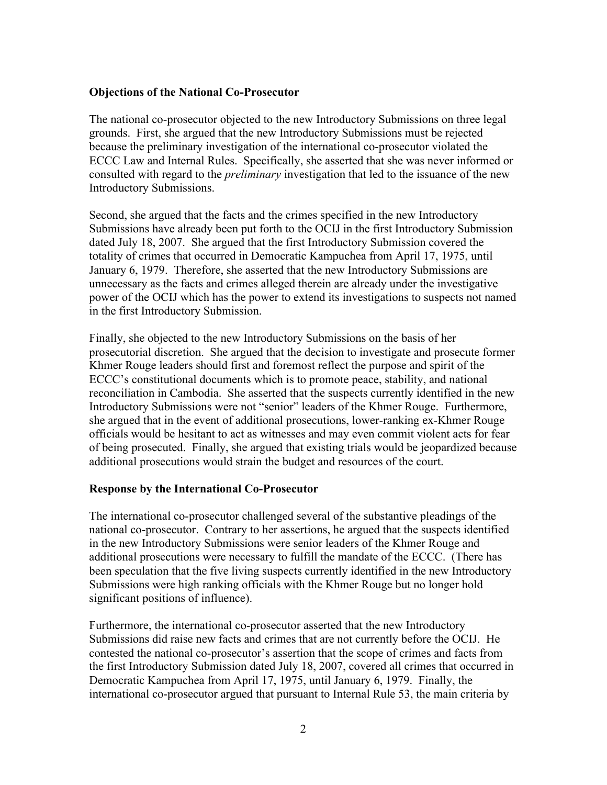### **Objections of the National Co-Prosecutor**

The national co-prosecutor objected to the new Introductory Submissions on three legal grounds. First, she argued that the new Introductory Submissions must be rejected because the preliminary investigation of the international co-prosecutor violated the ECCC Law and Internal Rules. Specifically, she asserted that she was never informed or consulted with regard to the *preliminary* investigation that led to the issuance of the new Introductory Submissions.

Second, she argued that the facts and the crimes specified in the new Introductory Submissions have already been put forth to the OCIJ in the first Introductory Submission dated July 18, 2007. She argued that the first Introductory Submission covered the totality of crimes that occurred in Democratic Kampuchea from April 17, 1975, until January 6, 1979. Therefore, she asserted that the new Introductory Submissions are unnecessary as the facts and crimes alleged therein are already under the investigative power of the OCIJ which has the power to extend its investigations to suspects not named in the first Introductory Submission.

Finally, she objected to the new Introductory Submissions on the basis of her prosecutorial discretion. She argued that the decision to investigate and prosecute former Khmer Rouge leaders should first and foremost reflect the purpose and spirit of the ECCC's constitutional documents which is to promote peace, stability, and national reconciliation in Cambodia. She asserted that the suspects currently identified in the new Introductory Submissions were not "senior" leaders of the Khmer Rouge. Furthermore, she argued that in the event of additional prosecutions, lower-ranking ex-Khmer Rouge officials would be hesitant to act as witnesses and may even commit violent acts for fear of being prosecuted. Finally, she argued that existing trials would be jeopardized because additional prosecutions would strain the budget and resources of the court.

#### **Response by the International Co-Prosecutor**

The international co-prosecutor challenged several of the substantive pleadings of the national co-prosecutor. Contrary to her assertions, he argued that the suspects identified in the new Introductory Submissions were senior leaders of the Khmer Rouge and additional prosecutions were necessary to fulfill the mandate of the ECCC. (There has been speculation that the five living suspects currently identified in the new Introductory Submissions were high ranking officials with the Khmer Rouge but no longer hold significant positions of influence).

Furthermore, the international co-prosecutor asserted that the new Introductory Submissions did raise new facts and crimes that are not currently before the OCIJ. He contested the national co-prosecutor's assertion that the scope of crimes and facts from the first Introductory Submission dated July 18, 2007, covered all crimes that occurred in Democratic Kampuchea from April 17, 1975, until January 6, 1979. Finally, the international co-prosecutor argued that pursuant to Internal Rule 53, the main criteria by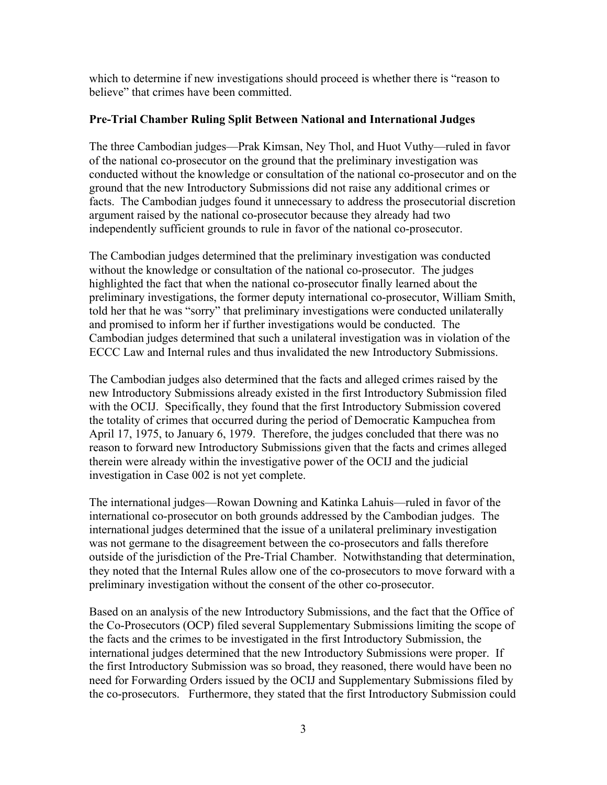which to determine if new investigations should proceed is whether there is "reason to believe" that crimes have been committed.

# **Pre-Trial Chamber Ruling Split Between National and International Judges**

The three Cambodian judges—Prak Kimsan, Ney Thol, and Huot Vuthy—ruled in favor of the national co-prosecutor on the ground that the preliminary investigation was conducted without the knowledge or consultation of the national co-prosecutor and on the ground that the new Introductory Submissions did not raise any additional crimes or facts. The Cambodian judges found it unnecessary to address the prosecutorial discretion argument raised by the national co-prosecutor because they already had two independently sufficient grounds to rule in favor of the national co-prosecutor.

The Cambodian judges determined that the preliminary investigation was conducted without the knowledge or consultation of the national co-prosecutor. The judges highlighted the fact that when the national co-prosecutor finally learned about the preliminary investigations, the former deputy international co-prosecutor, William Smith, told her that he was "sorry" that preliminary investigations were conducted unilaterally and promised to inform her if further investigations would be conducted. The Cambodian judges determined that such a unilateral investigation was in violation of the ECCC Law and Internal rules and thus invalidated the new Introductory Submissions.

The Cambodian judges also determined that the facts and alleged crimes raised by the new Introductory Submissions already existed in the first Introductory Submission filed with the OCIJ. Specifically, they found that the first Introductory Submission covered the totality of crimes that occurred during the period of Democratic Kampuchea from April 17, 1975, to January 6, 1979. Therefore, the judges concluded that there was no reason to forward new Introductory Submissions given that the facts and crimes alleged therein were already within the investigative power of the OCIJ and the judicial investigation in Case 002 is not yet complete.

The international judges—Rowan Downing and Katinka Lahuis—ruled in favor of the international co-prosecutor on both grounds addressed by the Cambodian judges. The international judges determined that the issue of a unilateral preliminary investigation was not germane to the disagreement between the co-prosecutors and falls therefore outside of the jurisdiction of the Pre-Trial Chamber. Notwithstanding that determination, they noted that the Internal Rules allow one of the co-prosecutors to move forward with a preliminary investigation without the consent of the other co-prosecutor.

Based on an analysis of the new Introductory Submissions, and the fact that the Office of the Co-Prosecutors (OCP) filed several Supplementary Submissions limiting the scope of the facts and the crimes to be investigated in the first Introductory Submission, the international judges determined that the new Introductory Submissions were proper. If the first Introductory Submission was so broad, they reasoned, there would have been no need for Forwarding Orders issued by the OCIJ and Supplementary Submissions filed by the co-prosecutors. Furthermore, they stated that the first Introductory Submission could